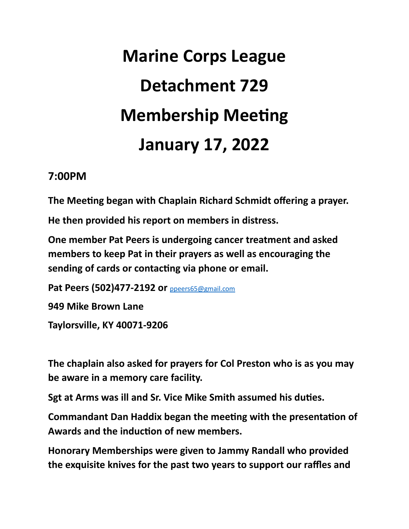## **Marine Corps League Detachment 729 Membership Meeting January 17, 2022**

## **7:00PM**

The Meeting began with Chaplain Richard Schmidt offering a prayer.

**He then provided his report on members in distress.** 

**One member Pat Peers is undergoing cancer treatment and asked members to keep Pat in their prayers as well as encouraging the**  sending of cards or contacting via phone or email.

**Pat Peers (502)477-2192 or** [ppeers65@gmail.com](mailto:ppeers65@gmail.com) **949 Mike Brown Lane Taylorsville, KY 40071-9206** 

**The chaplain also asked for prayers for Col Preston who is as you may be aware in a memory care facility.** 

**Sgt at Arms was ill and Sr. Vice Mike Smith assumed his duties.** 

**Commandant Dan Haddix began the meeting with the presentation of** Awards and the induction of new members.

**Honorary Memberships were given to Jammy Randall who provided the exquisite knives for the past two years to support our raffles and**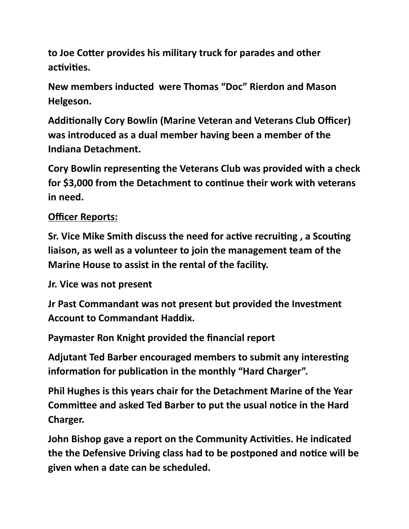to Joe Cotter provides his military truck for parades and other activities.

**New members inducted were Thomas "Doc" Rierdon and Mason Helgeson.** 

Additionally Cory Bowlin (Marine Veteran and Veterans Club Officer) **was introduced as a dual member having been a member of the Indiana Detachment.** 

**Cory Bowlin representing the Veterans Club was provided with a check** for \$3,000 from the Detachment to continue their work with veterans **in need.** 

## **Officer Reports:**

**Sr. Vice Mike Smith discuss the need for active recruiting, a Scouting liaison, as well as a volunteer to join the management team of the Marine House to assist in the rental of the facility.** 

**Jr. Vice was not present** 

**Jr Past Commandant was not present but provided the Investment Account to Commandant Haddix.** 

**Paymaster Ron Knight provided the financial report** 

Adjutant Ted Barber encouraged members to submit any interesting information for publication in the monthly "Hard Charger".

**Phil Hughes is this years chair for the Detachment Marine of the Year Committee and asked Ted Barber to put the usual notice in the Hard Charger.** 

**John Bishop gave a report on the Community Activities. He indicated** the the Defensive Driving class had to be postponed and notice will be **given when a date can be scheduled.**